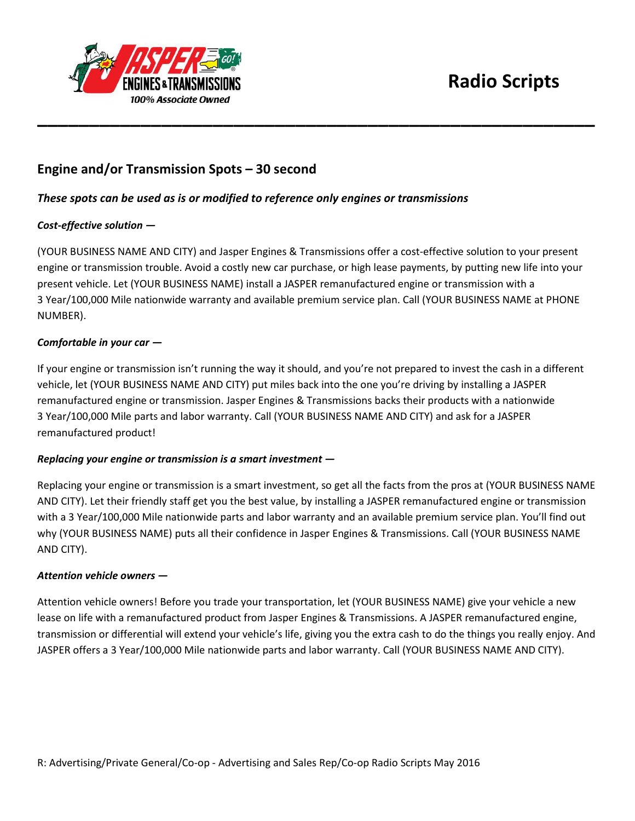



# **Engine and/or Transmission Spots – 30 second**

#### *These spots can be used as is or modified to reference only engines or transmissions*

#### *Cost-effective solution —*

(YOUR BUSINESS NAME AND CITY) and Jasper Engines & Transmissions offer a cost-effective solution to your present engine or transmission trouble. Avoid a costly new car purchase, or high lease payments, by putting new life into your present vehicle. Let (YOUR BUSINESS NAME) install a JASPER remanufactured engine or transmission with a 3 Year/100,000 Mile nationwide warranty and available premium service plan. Call (YOUR BUSINESS NAME at PHONE NUMBER).

**\_\_\_\_\_\_\_\_\_\_\_\_\_\_\_\_\_\_\_\_\_\_\_\_\_\_\_\_\_\_\_\_\_\_\_\_\_\_\_\_\_\_\_\_\_\_\_\_\_\_\_\_\_\_** 

#### *Comfortable in your car —*

If your engine or transmission isn't running the way it should, and you're not prepared to invest the cash in a different vehicle, let (YOUR BUSINESS NAME AND CITY) put miles back into the one you're driving by installing a JASPER remanufactured engine or transmission. Jasper Engines & Transmissions backs their products with a nationwide 3 Year/100,000 Mile parts and labor warranty. Call (YOUR BUSINESS NAME AND CITY) and ask for a JASPER remanufactured product!

#### *Replacing your engine or transmission is a smart investment —*

Replacing your engine or transmission is a smart investment, so get all the facts from the pros at (YOUR BUSINESS NAME AND CITY). Let their friendly staff get you the best value, by installing a JASPER remanufactured engine or transmission with a 3 Year/100,000 Mile nationwide parts and labor warranty and an available premium service plan. You'll find out why (YOUR BUSINESS NAME) puts all their confidence in Jasper Engines & Transmissions. Call (YOUR BUSINESS NAME AND CITY).

#### *Attention vehicle owners —*

Attention vehicle owners! Before you trade your transportation, let (YOUR BUSINESS NAME) give your vehicle a new lease on life with a remanufactured product from Jasper Engines & Transmissions. A JASPER remanufactured engine, transmission or differential will extend your vehicle's life, giving you the extra cash to do the things you really enjoy. And JASPER offers a 3 Year/100,000 Mile nationwide parts and labor warranty. Call (YOUR BUSINESS NAME AND CITY).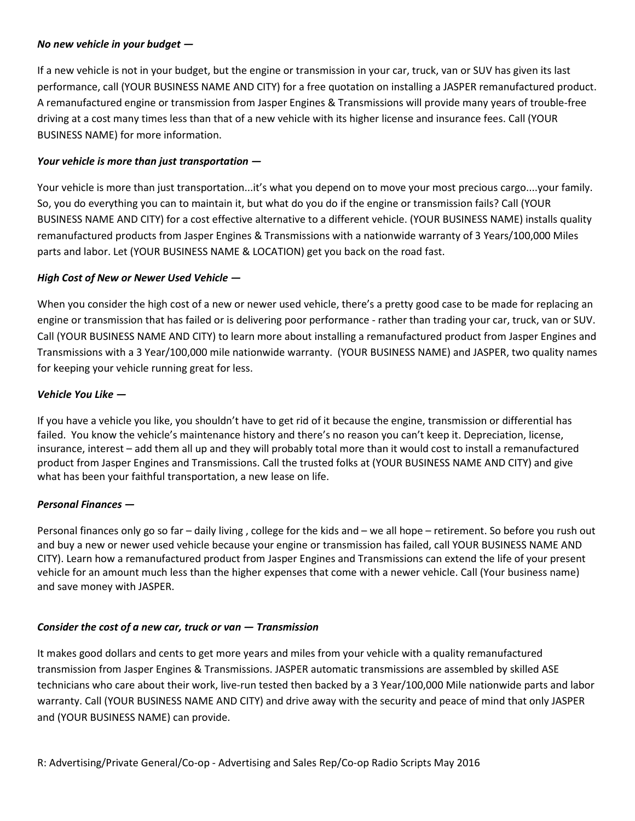### *No new vehicle in your budget —*

If a new vehicle is not in your budget, but the engine or transmission in your car, truck, van or SUV has given its last performance, call (YOUR BUSINESS NAME AND CITY) for a free quotation on installing a JASPER remanufactured product. A remanufactured engine or transmission from Jasper Engines & Transmissions will provide many years of trouble-free driving at a cost many times less than that of a new vehicle with its higher license and insurance fees. Call (YOUR BUSINESS NAME) for more information.

#### *Your vehicle is more than just transportation —*

Your vehicle is more than just transportation...it's what you depend on to move your most precious cargo....your family. So, you do everything you can to maintain it, but what do you do if the engine or transmission fails? Call (YOUR BUSINESS NAME AND CITY) for a cost effective alternative to a different vehicle. (YOUR BUSINESS NAME) installs quality remanufactured products from Jasper Engines & Transmissions with a nationwide warranty of 3 Years/100,000 Miles parts and labor. Let (YOUR BUSINESS NAME & LOCATION) get you back on the road fast.

# *High Cost of New or Newer Used Vehicle —*

When you consider the high cost of a new or newer used vehicle, there's a pretty good case to be made for replacing an engine or transmission that has failed or is delivering poor performance - rather than trading your car, truck, van or SUV. Call (YOUR BUSINESS NAME AND CITY) to learn more about installing a remanufactured product from Jasper Engines and Transmissions with a 3 Year/100,000 mile nationwide warranty. (YOUR BUSINESS NAME) and JASPER, two quality names for keeping your vehicle running great for less.

#### *Vehicle You Like —*

If you have a vehicle you like, you shouldn't have to get rid of it because the engine, transmission or differential has failed. You know the vehicle's maintenance history and there's no reason you can't keep it. Depreciation, license, insurance, interest – add them all up and they will probably total more than it would cost to install a remanufactured product from Jasper Engines and Transmissions. Call the trusted folks at (YOUR BUSINESS NAME AND CITY) and give what has been your faithful transportation, a new lease on life.

# *Personal Finances —*

Personal finances only go so far – daily living , college for the kids and – we all hope – retirement. So before you rush out and buy a new or newer used vehicle because your engine or transmission has failed, call YOUR BUSINESS NAME AND CITY). Learn how a remanufactured product from Jasper Engines and Transmissions can extend the life of your present vehicle for an amount much less than the higher expenses that come with a newer vehicle. Call (Your business name) and save money with JASPER.

# *Consider the cost of a new car, truck or van — Transmission*

It makes good dollars and cents to get more years and miles from your vehicle with a quality remanufactured transmission from Jasper Engines & Transmissions. JASPER automatic transmissions are assembled by skilled ASE technicians who care about their work, live-run tested then backed by a 3 Year/100,000 Mile nationwide parts and labor warranty. Call (YOUR BUSINESS NAME AND CITY) and drive away with the security and peace of mind that only JASPER and (YOUR BUSINESS NAME) can provide.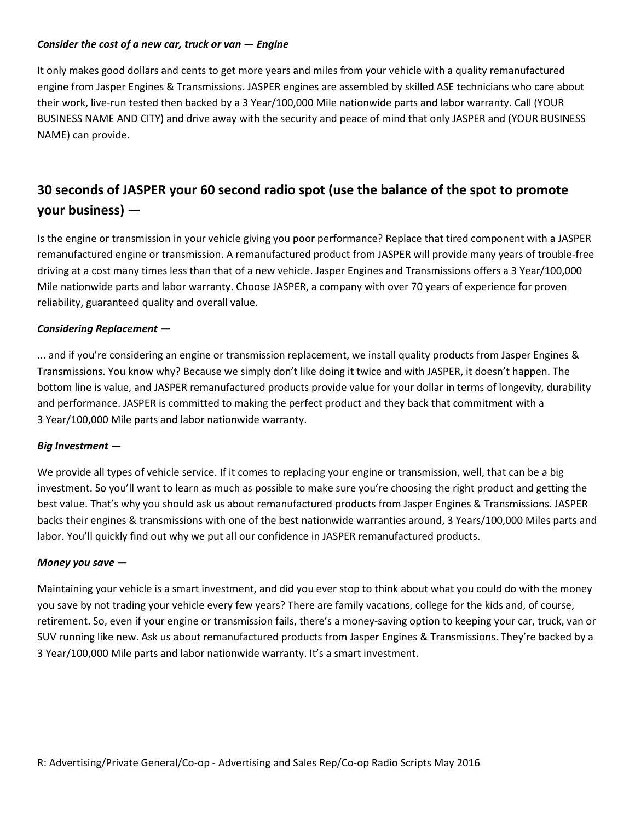### *Consider the cost of a new car, truck or van — Engine*

It only makes good dollars and cents to get more years and miles from your vehicle with a quality remanufactured engine from Jasper Engines & Transmissions. JASPER engines are assembled by skilled ASE technicians who care about their work, live-run tested then backed by a 3 Year/100,000 Mile nationwide parts and labor warranty. Call (YOUR BUSINESS NAME AND CITY) and drive away with the security and peace of mind that only JASPER and (YOUR BUSINESS NAME) can provide.

# **30 seconds of JASPER your 60 second radio spot (use the balance of the spot to promote your business) —**

Is the engine or transmission in your vehicle giving you poor performance? Replace that tired component with a JASPER remanufactured engine or transmission. A remanufactured product from JASPER will provide many years of trouble-free driving at a cost many times less than that of a new vehicle. Jasper Engines and Transmissions offers a 3 Year/100,000 Mile nationwide parts and labor warranty. Choose JASPER, a company with over 70 years of experience for proven reliability, guaranteed quality and overall value.

#### *Considering Replacement —*

... and if you're considering an engine or transmission replacement, we install quality products from Jasper Engines & Transmissions. You know why? Because we simply don't like doing it twice and with JASPER, it doesn't happen. The bottom line is value, and JASPER remanufactured products provide value for your dollar in terms of longevity, durability and performance. JASPER is committed to making the perfect product and they back that commitment with a 3 Year/100,000 Mile parts and labor nationwide warranty.

#### *Big Investment —*

We provide all types of vehicle service. If it comes to replacing your engine or transmission, well, that can be a big investment. So you'll want to learn as much as possible to make sure you're choosing the right product and getting the best value. That's why you should ask us about remanufactured products from Jasper Engines & Transmissions. JASPER backs their engines & transmissions with one of the best nationwide warranties around, 3 Years/100,000 Miles parts and labor. You'll quickly find out why we put all our confidence in JASPER remanufactured products.

#### *Money you save —*

Maintaining your vehicle is a smart investment, and did you ever stop to think about what you could do with the money you save by not trading your vehicle every few years? There are family vacations, college for the kids and, of course, retirement. So, even if your engine or transmission fails, there's a money-saving option to keeping your car, truck, van or SUV running like new. Ask us about remanufactured products from Jasper Engines & Transmissions. They're backed by a 3 Year/100,000 Mile parts and labor nationwide warranty. It's a smart investment.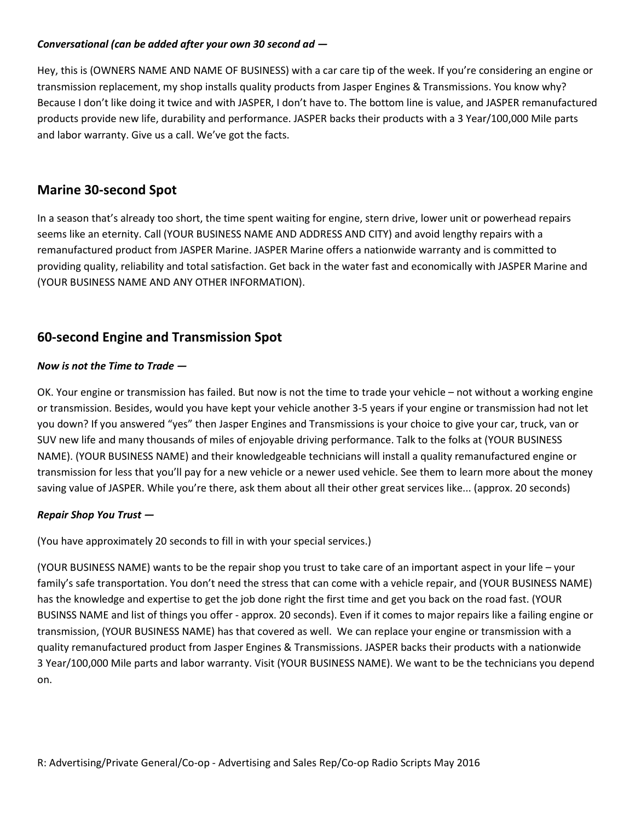### *Conversational (can be added after your own 30 second ad —*

Hey, this is (OWNERS NAME AND NAME OF BUSINESS) with a car care tip of the week. If you're considering an engine or transmission replacement, my shop installs quality products from Jasper Engines & Transmissions. You know why? Because I don't like doing it twice and with JASPER, I don't have to. The bottom line is value, and JASPER remanufactured products provide new life, durability and performance. JASPER backs their products with a 3 Year/100,000 Mile parts and labor warranty. Give us a call. We've got the facts.

# **Marine 30-second Spot**

In a season that's already too short, the time spent waiting for engine, stern drive, lower unit or powerhead repairs seems like an eternity. Call (YOUR BUSINESS NAME AND ADDRESS AND CITY) and avoid lengthy repairs with a remanufactured product from JASPER Marine. JASPER Marine offers a nationwide warranty and is committed to providing quality, reliability and total satisfaction. Get back in the water fast and economically with JASPER Marine and (YOUR BUSINESS NAME AND ANY OTHER INFORMATION).

# **60-second Engine and Transmission Spot**

# *Now is not the Time to Trade —*

OK. Your engine or transmission has failed. But now is not the time to trade your vehicle – not without a working engine or transmission. Besides, would you have kept your vehicle another 3-5 years if your engine or transmission had not let you down? If you answered "yes" then Jasper Engines and Transmissions is your choice to give your car, truck, van or SUV new life and many thousands of miles of enjoyable driving performance. Talk to the folks at (YOUR BUSINESS NAME). (YOUR BUSINESS NAME) and their knowledgeable technicians will install a quality remanufactured engine or transmission for less that you'll pay for a new vehicle or a newer used vehicle. See them to learn more about the money saving value of JASPER. While you're there, ask them about all their other great services like... (approx. 20 seconds)

# *Repair Shop You Trust —*

(You have approximately 20 seconds to fill in with your special services.)

(YOUR BUSINESS NAME) wants to be the repair shop you trust to take care of an important aspect in your life – your family's safe transportation. You don't need the stress that can come with a vehicle repair, and (YOUR BUSINESS NAME) has the knowledge and expertise to get the job done right the first time and get you back on the road fast. (YOUR BUSINSS NAME and list of things you offer - approx. 20 seconds). Even if it comes to major repairs like a failing engine or transmission, (YOUR BUSINESS NAME) has that covered as well. We can replace your engine or transmission with a quality remanufactured product from Jasper Engines & Transmissions. JASPER backs their products with a nationwide 3 Year/100,000 Mile parts and labor warranty. Visit (YOUR BUSINESS NAME). We want to be the technicians you depend on.